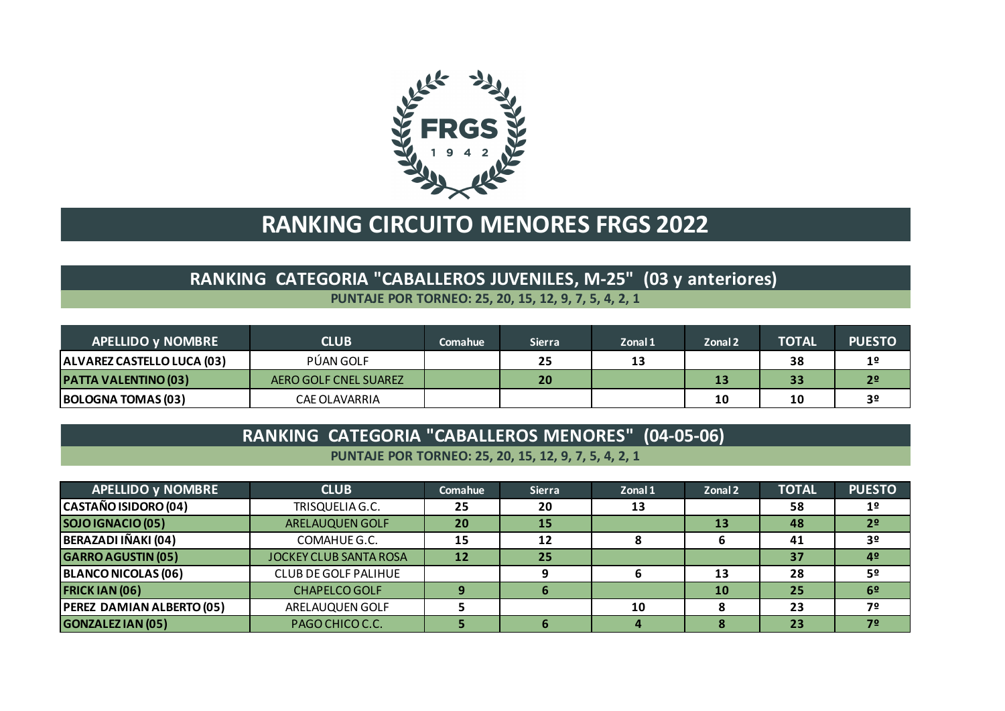

## **RANKING CIRCUITO MENORES FRGS 2022**

#### **PUNTAJE POR TORNEO: 25, 20, 15, 12, 9, 7, 5, 4, 2, 1 RANKING CATEGORIA "CABALLEROS JUVENILES, M-25" (03 y anteriores)**

| <b>APELLIDO y NOMBRE</b>    | <b>CLUB</b>           | Comahue | <b>Sierra</b> | Zonal 1 | Zonal 2 | <b>TOTAL</b> | <b>PUESTO</b>  |
|-----------------------------|-----------------------|---------|---------------|---------|---------|--------------|----------------|
| ALVAREZ CASTELLO LUCA (03)  | PÚAN GOLF             |         | 25            | 13      |         | 38           | 1 <sup>°</sup> |
| <b>PATTA VALENTINO (03)</b> | AERO GOLF CNEL SUAREZ |         | 20            |         | 13      | 33           | 2 <sup>o</sup> |
| <b>BOLOGNA TOMAS (03)</b>   | CAE OLAVARRIA         |         |               |         | 10      | 10           | 3 <sup>o</sup> |

#### **RANKING CATEGORIA "CABALLEROS MENORES" (04-05-06)**

**PUNTAJE POR TORNEO: 25, 20, 15, 12, 9, 7, 5, 4, 2, 1**

| <b>APELLIDO y NOMBRE</b>         | <b>CLUB</b>                   | Comahue | <b>Sierra</b> | Zonal 1 | Zonal 2 | <b>TOTAL</b> | <b>PUESTO</b>  |
|----------------------------------|-------------------------------|---------|---------------|---------|---------|--------------|----------------|
| CASTAÑO ISIDORO (04)             | TRISQUELIA G.C.               | 25      | 20            | 13      |         | 58           | 1 <sup>o</sup> |
| SOJO IGNACIO (05)                | <b>ARELAUQUEN GOLF</b>        | 20      | 15            |         | 13      | 48           | 2 <sup>o</sup> |
| BERAZADI IÑAKI (04)              | COMAHUE G.C.                  | 15      | 12            |         |         | 41           | 3 <sup>o</sup> |
| <b>GARRO AGUSTIN (05)</b>        | <b>JOCKEY CLUB SANTA ROSA</b> | 12      | 25            |         |         | 37           | 4º             |
| <b>BLANCO NICOLAS (06)</b>       | CLUB DE GOLF PALIHUE          |         |               |         | 13      | 28           | 5º             |
| <b>FRICK IAN (06)</b>            | <b>CHAPELCO GOLF</b>          |         |               |         | 10      | 25           | 6 <sup>2</sup> |
| <b>PEREZ DAMIAN ALBERTO (05)</b> | ARELAUQUEN GOLF               |         |               | 10      |         | 23           | 7º             |
| <b>GONZALEZ IAN (05)</b>         | PAGO CHICO C.C.               |         |               |         |         | 23           | 72             |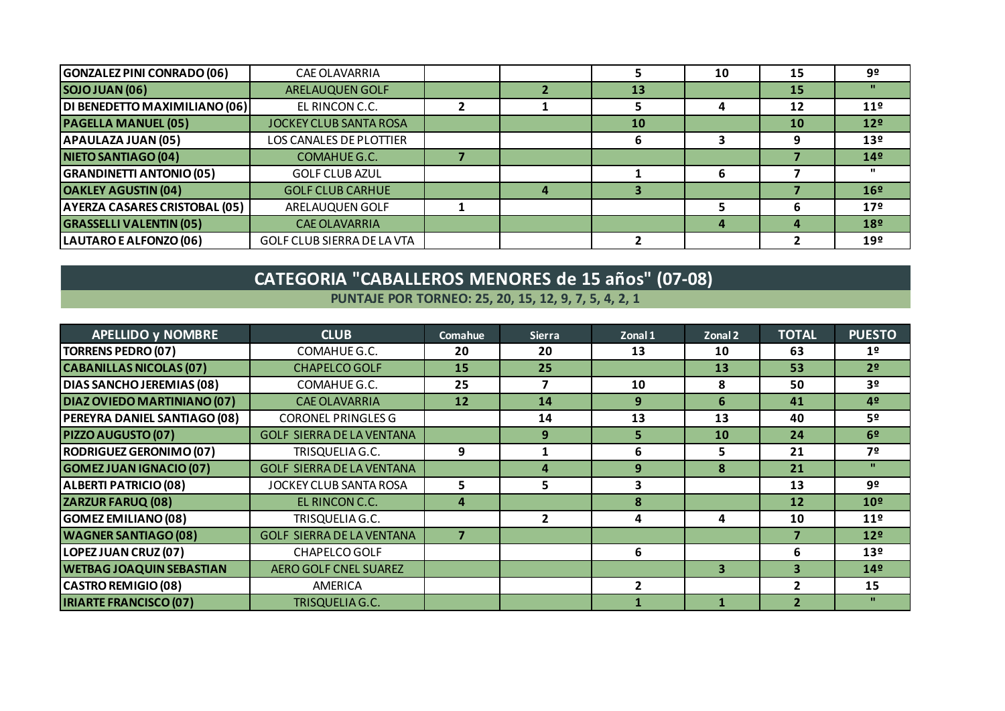| <b>GONZALEZ PINI CONRADO (06)</b>    | <b>CAE OLAVARRIA</b>          |  |    | 10 | 15        | 9º              |
|--------------------------------------|-------------------------------|--|----|----|-----------|-----------------|
| <b>SOJO JUAN (06)</b>                | <b>ARELAUQUEN GOLF</b>        |  | 13 |    | 15        | $\mathbf{H}$    |
| DI BENEDETTO MAXIMILIANO (06)        | EL RINCON C.C.                |  |    |    | 12        | 11 <sup>°</sup> |
| <b>PAGELLA MANUEL (05)</b>           | <b>JOCKEY CLUB SANTA ROSA</b> |  | 10 |    | <b>10</b> | 12 <sup>°</sup> |
| <b>APAULAZA JUAN (05)</b>            | LOS CANALES DE PLOTTIER       |  |    |    | q         | 13 <sup>°</sup> |
| NIETO SANTIAGO (04)                  | COMAHUE G.C.                  |  |    |    |           | 14 <sup>°</sup> |
| <b>GRANDINETTI ANTONIO (05)</b>      | <b>GOLF CLUB AZUL</b>         |  |    |    |           | $\mathbf{u}$    |
| <b>OAKLEY AGUSTIN (04)</b>           | <b>GOLF CLUB CARHUE</b>       |  |    |    |           | 16 <sup>°</sup> |
| <b>AYERZA CASARES CRISTOBAL (05)</b> | ARELAUQUEN GOLF               |  |    |    | h         | 17 <sup>°</sup> |
| <b>GRASSELLI VALENTIN (05)</b>       | <b>CAE OLAVARRIA</b>          |  |    |    |           | 18 <sup>°</sup> |
| LAUTARO E ALFONZO (06)               | GOLF CLUB SIERRA DE LA VTA    |  |    |    |           | 19 <sup>°</sup> |

#### **PUNTAJE POR TORNEO: 25, 20, 15, 12, 9, 7, 5, 4, 2, 1 CATEGORIA "CABALLEROS MENORES de 15 años" (07-08)**

| <b>APELLIDO y NOMBRE</b>        | <b>CLUB</b>                      | Comahue | <b>Sierra</b>  | Zonal 1                 | Zonal 2 | <b>TOTAL</b>            | <b>PUESTO</b>   |
|---------------------------------|----------------------------------|---------|----------------|-------------------------|---------|-------------------------|-----------------|
| <b>TORRENS PEDRO (07)</b>       | COMAHUE G.C.                     | 20      | 20             | 13                      | 10      | 63                      | 1 <sup>°</sup>  |
| <b>CABANILLAS NICOLAS (07)</b>  | <b>CHAPELCO GOLF</b>             | 15      | 25             |                         | 13      | 53                      | 2 <sup>o</sup>  |
| DIAS SANCHO JEREMIAS (08)       | COMAHUE G.C.                     | 25      | 7              | 10                      | 8       | 50                      | 3 <sup>o</sup>  |
| DIAZ OVIEDO MARTINIANO (07)     | <b>CAE OLAVARRIA</b>             | 12      | 14             | 9                       | 6       | 41                      | 4 <sup>°</sup>  |
| PEREYRA DANIEL SANTIAGO (08)    | <b>CORONEL PRINGLES G</b>        |         | 14             | 13                      | 13      | 40                      | 52              |
| PIZZO AUGUSTO (07)              | <b>GOLF SIERRA DE LA VENTANA</b> |         | 9              | $\overline{\mathbf{5}}$ | 10      | 24                      | 6 <sup>2</sup>  |
| <b>RODRIGUEZ GERONIMO (07)</b>  | TRISQUELIA G.C.                  | 9       |                | 6                       | 5       | 21                      | 7º              |
| <b>GOMEZ JUAN IGNACIO (07)</b>  | <b>GOLF SIERRA DE LA VENTANA</b> |         | 4              | 9                       | 8       | 21                      | $\mathbf{u}$    |
| <b>ALBERTI PATRICIO (08)</b>    | JOCKEY CLUB SANTA ROSA           | 5       | 5              | 3                       |         | 13                      | 92              |
| <b>ZARZUR FARUQ (08)</b>        | EL RINCON C.C.                   | Δ       |                | $\mathbf{R}$            |         | 12                      | 10 <sup>°</sup> |
| <b>GOMEZ EMILIANO (08)</b>      | TRISQUELIA G.C.                  |         | $\overline{2}$ | 4                       | 4       | 10                      | 11 <sup>°</sup> |
| <b>WAGNER SANTIAGO (08)</b>     | <b>GOLF SIERRA DE LA VENTANA</b> |         |                |                         |         |                         | 12 <sup>°</sup> |
| LOPEZ JUAN CRUZ (07)            | CHAPELCO GOLF                    |         |                | 6                       |         | 6                       | 13 <sup>°</sup> |
| <b>WETBAG JOAQUIN SEBASTIAN</b> | <b>AERO GOLF CNEL SUAREZ</b>     |         |                |                         | 3       | 3                       | 14 <sup>°</sup> |
| <b>CASTRO REMIGIO (08)</b>      | AMERICA                          |         |                | $\mathbf{z}$            |         | $\overline{\mathbf{z}}$ | 15              |
| <b>IRIARTE FRANCISCO (07)</b>   | <b>TRISQUELIA G.C.</b>           |         |                |                         |         | $\mathbf{2}$            | $\mathbf{H}$    |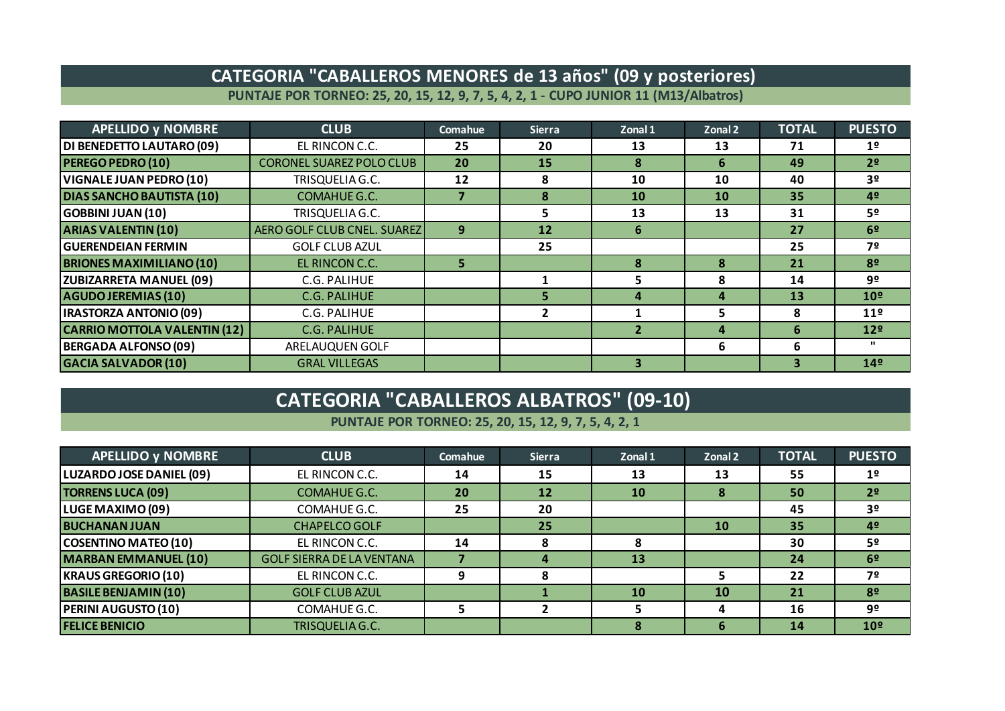#### **CATEGORIA "CABALLEROS MENORES de 13 años" (09 y posteriores)**

**PUNTAJE POR TORNEO: 25, 20, 15, 12, 9, 7, 5, 4, 2, 1 - CUPO JUNIOR 11 (M13/Albatros)**

| <b>APELLIDO y NOMBRE</b>            | <b>CLUB</b>                     | Comahue | <b>Sierra</b>  | Zonal 1      | Zonal 2   | <b>TOTAL</b> | <b>PUESTO</b>   |
|-------------------------------------|---------------------------------|---------|----------------|--------------|-----------|--------------|-----------------|
| DI BENEDETTO LAUTARO (09)           | EL RINCON C.C.                  | 25      | 20             | 13           | 13        | 71           | 1 <sup>o</sup>  |
| <b>PEREGO PEDRO (10)</b>            | <b>CORONEL SUAREZ POLO CLUB</b> | 20      | 15             | $\mathbf{R}$ | 6         | 49           | 2 <sup>o</sup>  |
| <b>VIGNALE JUAN PEDRO (10)</b>      | TRISQUELIA G.C.                 | 12      | 8              | 10           | 10        | 40           | 3 <sup>o</sup>  |
| <b>DIAS SANCHO BAUTISTA (10)</b>    | COMAHUE G.C.                    |         | 8              | 10           | <b>10</b> | 35           | 42              |
| <b>GOBBINI JUAN (10)</b>            | TRISQUELIA G.C.                 |         | 5              | 13           | 13        | 31           | 52              |
| <b>ARIAS VALENTIN (10)</b>          | AERO GOLF CLUB CNEL. SUAREZ     | 9       | 12             | 6            |           | 27           | 6 <sup>2</sup>  |
| <b>GUERENDEIAN FERMIN</b>           | <b>GOLF CLUB AZUL</b>           |         | 25             |              |           | 25           | 7º              |
| <b>BRIONES MAXIMILIANO (10)</b>     | EL RINCON C.C.                  | 5.      |                | 8            | 8         | 21           | 82              |
| <b>ZUBIZARRETA MANUEL (09)</b>      | C.G. PALIHUE                    |         |                |              | 8         | 14           | 92              |
| <b>AGUDO JEREMIAS (10)</b>          | <b>C.G. PALIHUE</b>             |         | 5              | $\mathbf{A}$ | 4         | 13           | 10 <sup>°</sup> |
| <b>IRASTORZA ANTONIO (09)</b>       | C.G. PALIHUE                    |         | $\overline{2}$ |              | 5         | 8            | 11 <sup>°</sup> |
| <b>CARRIO MOTTOLA VALENTIN (12)</b> | <b>C.G. PALIHUE</b>             |         |                |              | 4         | 6            | 12 <sup>°</sup> |
| <b>BERGADA ALFONSO (09)</b>         | ARELAUQUEN GOLF                 |         |                |              | 6         | 6            | $\mathbf{u}$    |
| <b>GACIA SALVADOR (10)</b>          | <b>GRAL VILLEGAS</b>            |         |                | 3            |           |              | 14 <sup>°</sup> |

## **CATEGORIA "CABALLEROS ALBATROS" (09-10)**

#### **PUNTAJE POR TORNEO: 25, 20, 15, 12, 9, 7, 5, 4, 2, 1**

| <b>APELLIDO y NOMBRE</b>    | <b>CLUB</b>                      | Comahue | <b>Sierra</b> | Zonal 1 | Zonal 2   | <b>TOTAL</b> | <b>PUESTO</b>   |
|-----------------------------|----------------------------------|---------|---------------|---------|-----------|--------------|-----------------|
| LUZARDO JOSE DANIEL (09)    | EL RINCON C.C.                   | 14      | 15            | 13      | 13        | 55           | 1 <sup>o</sup>  |
| <b>TORRENS LUCA (09)</b>    | COMAHUE G.C.                     | 20      | 12            | 10      | 8         | 50           | 2 <sup>o</sup>  |
| LUGE MAXIMO (09)            | COMAHUE G.C.                     | 25      | 20            |         |           | 45           | 3º              |
| <b>BUCHANAN JUAN</b>        | <b>CHAPELCO GOLF</b>             |         | 25            |         | <b>10</b> | 35           | 4 <sup>°</sup>  |
| <b>COSENTINO MATEO (10)</b> | EL RINCON C.C.                   | 14      | 8             | 8       |           | 30           | 52              |
| <b>MARBAN EMMANUEL (10)</b> | <b>GOLF SIERRA DE LA VENTANA</b> |         | 4             | 13      |           | 24           | 6 <sup>2</sup>  |
| <b>KRAUS GREGORIO (10)</b>  | EL RINCON C.C.                   | 9       | 8             |         |           | 22           | 7º              |
| <b>BASILE BENJAMIN (10)</b> | <b>GOLF CLUB AZUL</b>            |         |               | 10      | <b>10</b> | 21           | 8 <sup>o</sup>  |
| <b>PERINI AUGUSTO (10)</b>  | COMAHUE G.C.                     |         |               |         |           | 16           | 9º              |
| <b>FELICE BENICIO</b>       | TRISQUELIA G.C.                  |         |               | 8       | 6         | 14           | 10 <sup>°</sup> |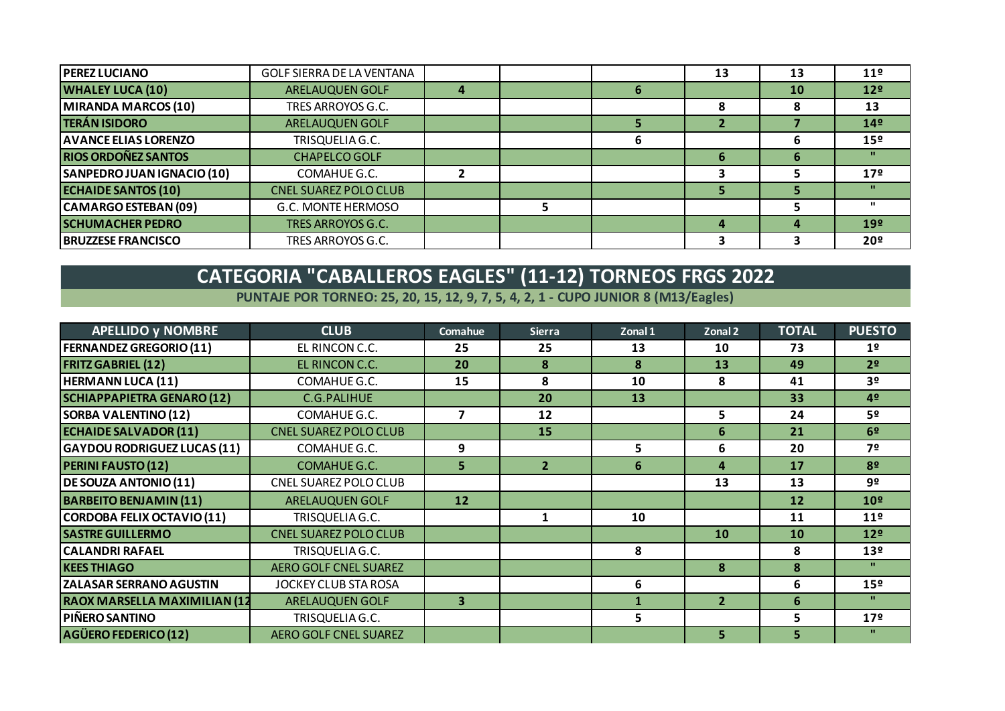| <b>PEREZ LUCIANO</b>        | <b>GOLF SIERRA DE LA VENTANA</b> |   |  | 13 | 13 | 11 <sup>°</sup> |
|-----------------------------|----------------------------------|---|--|----|----|-----------------|
| <b>WHALEY LUCA (10)</b>     | ARELAUQUEN GOLF                  | 4 |  |    | 10 | 12 <sup>°</sup> |
| MIRANDA MARCOS (10)         | TRES ARROYOS G.C.                |   |  | ο  |    | 13              |
| <b>TERÁN ISIDORO</b>        | ARELAUQUEN GOLF                  |   |  |    |    | 14 <sup>°</sup> |
| <b>AVANCE ELIAS LORENZO</b> | TRISQUELIA G.C.                  |   |  |    |    | 15 <sup>°</sup> |
| <b>RIOS ORDOÑEZ SANTOS</b>  | <b>CHAPELCO GOLF</b>             |   |  | 6  | h  |                 |
| SANPEDRO JUAN IGNACIO (10)  | COMAHUE G.C.                     |   |  |    |    | 17 <sup>°</sup> |
| <b>ECHAIDE SANTOS (10)</b>  | <b>CNEL SUAREZ POLO CLUB</b>     |   |  |    |    |                 |
| CAMARGO ESTEBAN (09)        | G.C. MONTE HERMOSO               |   |  |    |    |                 |
| <b>SCHUMACHER PEDRO</b>     | TRES ARROYOS G.C.                |   |  |    |    | 19 <sup>°</sup> |
| <b>BRUZZESE FRANCISCO</b>   | TRES ARROYOS G.C.                |   |  |    |    | 20 <sup>o</sup> |

# **CATEGORIA "CABALLEROS EAGLES" (11-12) TORNEOS FRGS 2022**

**PUNTAJE POR TORNEO: 25, 20, 15, 12, 9, 7, 5, 4, 2, 1 - CUPO JUNIOR 8 (M13/Eagles)**

| <b>APELLIDO y NOMBRE</b>            | <b>CLUB</b>                  | Comahue                 | <b>Sierra</b>  | Zonal 1        | Zonal 2        | <b>TOTAL</b> | <b>PUESTO</b>   |
|-------------------------------------|------------------------------|-------------------------|----------------|----------------|----------------|--------------|-----------------|
| <b>FERNANDEZ GREGORIO (11)</b>      | EL RINCON C.C.               | 25                      | 25             | 13             | 10             | 73           | 1 <sup>o</sup>  |
| <b>FRITZ GABRIEL (12)</b>           | EL RINCON C.C.               | 20                      | 8              | 8              | 13             | 49           | 2 <sup>o</sup>  |
| <b>HERMANN LUCA (11)</b>            | COMAHUE G.C.                 | 15                      | 8              | 10             | 8              | 41           | 3 <sup>o</sup>  |
| <b>SCHIAPPAPIETRA GENARO (12)</b>   | C.G.PALIHUE                  |                         | 20             | 13             |                | 33           | 42              |
| <b>SORBA VALENTINO (12)</b>         | COMAHUE G.C.                 |                         | 12             |                | 5              | 24           | 5º              |
| <b>ECHAIDE SALVADOR (11)</b>        | <b>CNEL SUAREZ POLO CLUB</b> |                         | 15             |                | 6              | 21           | 6 <sup>2</sup>  |
| <b>GAYDOU RODRIGUEZ LUCAS (11)</b>  | COMAHUE G.C.                 | 9                       |                | 5              | 6              | 20           | 7º              |
| <b>PERINI FAUSTO (12)</b>           | <b>COMAHUE G.C.</b>          | 5                       | $\overline{2}$ | 6              | 4              | 17           | 8 <sup>o</sup>  |
| <b>DE SOUZA ANTONIO (11)</b>        | CNEL SUAREZ POLO CLUB        |                         |                |                | 13             | 13           | 9º              |
| <b>BARBEITO BENJAMIN (11)</b>       | ARELAUQUEN GOLF              | 12                      |                |                |                | 12           | 10 <sup>°</sup> |
| <b>CORDOBA FELIX OCTAVIO (11)</b>   | TRISQUELIA G.C.              |                         | 1              | 10             |                | 11           | 11 <sup>°</sup> |
| <b>SASTRE GUILLERMO</b>             | <b>CNEL SUAREZ POLO CLUB</b> |                         |                |                | 10             | 10           | 12 <sup>°</sup> |
| <b>CALANDRI RAFAEL</b>              | TRISQUELIA G.C.              |                         |                | 8              |                | 8            | 13 <sup>°</sup> |
| <b>KEES THIAGO</b>                  | <b>AERO GOLF CNEL SUAREZ</b> |                         |                |                | 8              | 8            | $\mathbf{u}$    |
| <b>ZALASAR SERRANO AGUSTIN</b>      | JOCKEY CLUB STA ROSA         |                         |                | 6              |                | 6            | 15 <sup>°</sup> |
| <b>RAOX MARSELLA MAXIMILIAN (12</b> | ARELAUQUEN GOLF              | $\overline{\mathbf{3}}$ |                |                | $\overline{2}$ | 6            | $\mathbf{u}$    |
| PIÑERO SANTINO                      | TRISQUELIA G.C.              |                         |                | 5 <sup>1</sup> |                | 5            | 17 <sup>°</sup> |
| AGÜERO FEDERICO (12)                | <b>AERO GOLF CNEL SUAREZ</b> |                         |                |                | 5              | 5            | $\mathbf{H}$    |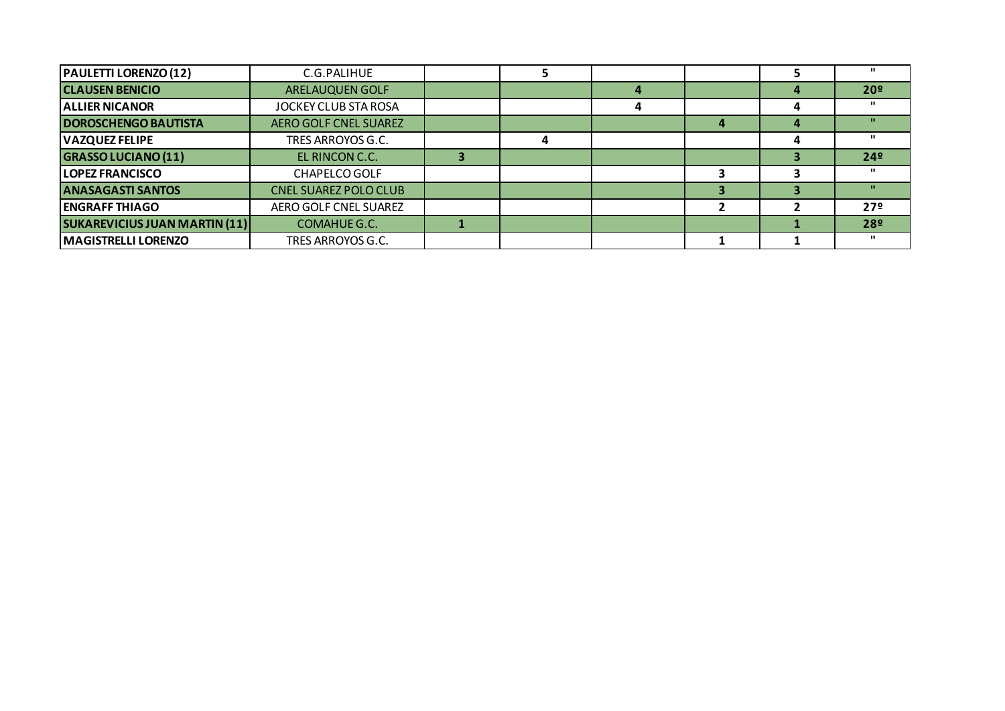| <b>PAULETTI LORENZO (12)</b>         | C.G.PALIHUE                  |  |   |   | ш               |
|--------------------------------------|------------------------------|--|---|---|-----------------|
| <b>CLAUSEN BENICIO</b>               | <b>ARELAUQUEN GOLF</b>       |  |   |   | 20 <sup>°</sup> |
| <b>ALLIER NICANOR</b>                | JOCKEY CLUB STA ROSA         |  |   |   | $\mathbf{u}$    |
| <b>DOROSCHENGO BAUTISTA</b>          | <b>AERO GOLF CNEL SUAREZ</b> |  | д | Д | п.              |
| <b>VAZQUEZ FELIPE</b>                | TRES ARROYOS G.C.            |  |   |   | $\mathbf{u}$    |
| <b>GRASSO LUCIANO (11)</b>           | EL RINCON C.C.               |  |   |   | 24 <sup>°</sup> |
| <b>LOPEZ FRANCISCO</b>               | <b>CHAPELCO GOLF</b>         |  |   |   | $\mathbf{u}$    |
| <b>ANASAGASTI SANTOS</b>             | <b>CNEL SUAREZ POLO CLUB</b> |  |   |   | $\mathbf{u}$    |
| <b>ENGRAFF THIAGO</b>                | AERO GOLF CNEL SUAREZ        |  |   |   | 27 <sup>°</sup> |
| <b>SUKAREVICIUS JUAN MARTIN (11)</b> | <b>COMAHUE G.C.</b>          |  |   |   | 28º             |
| <b>MAGISTRELLI LORENZO</b>           | TRES ARROYOS G.C.            |  |   |   | $\mathbf{u}$    |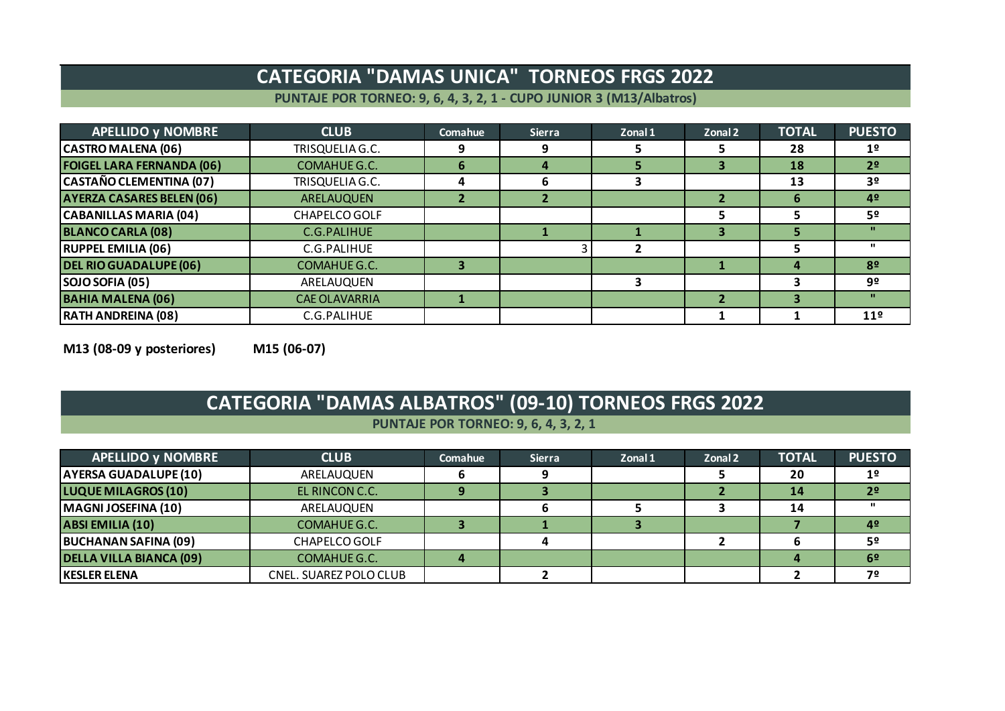### **CATEGORIA "DAMAS UNICA" TORNEOS FRGS 2022**

**PUNTAJE POR TORNEO: 9, 6, 4, 3, 2, 1 - CUPO JUNIOR 3 (M13/Albatros)**

| <b>APELLIDO y NOMBRE</b>         | <b>CLUB</b>          | Comahue | <b>Sierra</b> | Zonal 1 | Zonal 2 | <b>TOTAL</b> | <b>PUESTO</b>   |
|----------------------------------|----------------------|---------|---------------|---------|---------|--------------|-----------------|
| <b>CASTRO MALENA (06)</b>        | TRISQUELIA G.C.      |         | 9             |         |         | 28           | 1 <sup>°</sup>  |
| <b>FOIGEL LARA FERNANDA (06)</b> | COMAHUE G.C.         | h       | 4             | ÷.      | з       | 18           | 2 <sup>o</sup>  |
| <b>CASTAÑO CLEMENTINA (07)</b>   | TRISQUELIA G.C.      | 4       | 6             | З       |         | 13           | 3 <sup>o</sup>  |
| <b>AYERZA CASARES BELEN (06)</b> | <b>ARELAUQUEN</b>    |         |               |         |         | 6            | 4 <sup>°</sup>  |
| <b>CABANILLAS MARIA (04)</b>     | CHAPELCO GOLF        |         |               |         |         |              | 5º              |
| <b>BLANCO CARLA (08)</b>         | C.G.PALIHUE          |         |               |         | з       |              | $\mathbf{H}$    |
| <b>RUPPEL EMILIA (06)</b>        | C.G.PALIHUE          |         |               |         |         |              | $\mathbf{u}$    |
| <b>DEL RIO GUADALUPE (06)</b>    | COMAHUE G.C.         |         |               |         |         |              | 8 <sup>o</sup>  |
| SOJO SOFIA (05)                  | ARELAUQUEN           |         |               |         |         |              | 9º              |
| <b>BAHIA MALENA (06)</b>         | <b>CAE OLAVARRIA</b> |         |               |         |         |              | $\mathbf{H}$    |
| <b>RATH ANDREINA (08)</b>        | C.G.PALIHUE          |         |               |         |         |              | 11 <sup>°</sup> |

**M13 (08-09 y posteriores) M15 (06-07)**

# **CATEGORIA "DAMAS ALBATROS" (09-10) TORNEOS FRGS 2022**

#### **PUNTAJE POR TORNEO: 9, 6, 4, 3, 2, 1**

| <b>APELLIDO y NOMBRE</b>       | <b>CLUB</b>            | <b>Comahue</b> | <b>Sierra</b> | Zonal 1 | Zonal 2 | <b>TOTAL</b> | <b>PUESTO</b>  |
|--------------------------------|------------------------|----------------|---------------|---------|---------|--------------|----------------|
| <b>AYERSA GUADALUPE (10)</b>   | ARELAUQUEN             |                |               |         |         | 20           | 1 <sup>o</sup> |
| <b>LUQUE MILAGROS (10)</b>     | EL RINCON C.C.         |                |               |         |         | 14           | 2 <sup>o</sup> |
| MAGNI JOSEFINA (10)            | ARELAUQUEN             |                |               |         |         | 14           |                |
| <b>ABSI EMILIA (10)</b>        | COMAHUE G.C.           |                |               |         |         |              | 4 <sup>°</sup> |
| <b>BUCHANAN SAFINA (09)</b>    | <b>CHAPELCO GOLF</b>   |                |               |         |         |              | 5º             |
| <b>DELLA VILLA BIANCA (09)</b> | COMAHUE G.C.           |                |               |         |         |              | 6 <sup>9</sup> |
| <b>IKESLER ELENA</b>           | CNEL. SUAREZ POLO CLUB |                |               |         |         |              | 72             |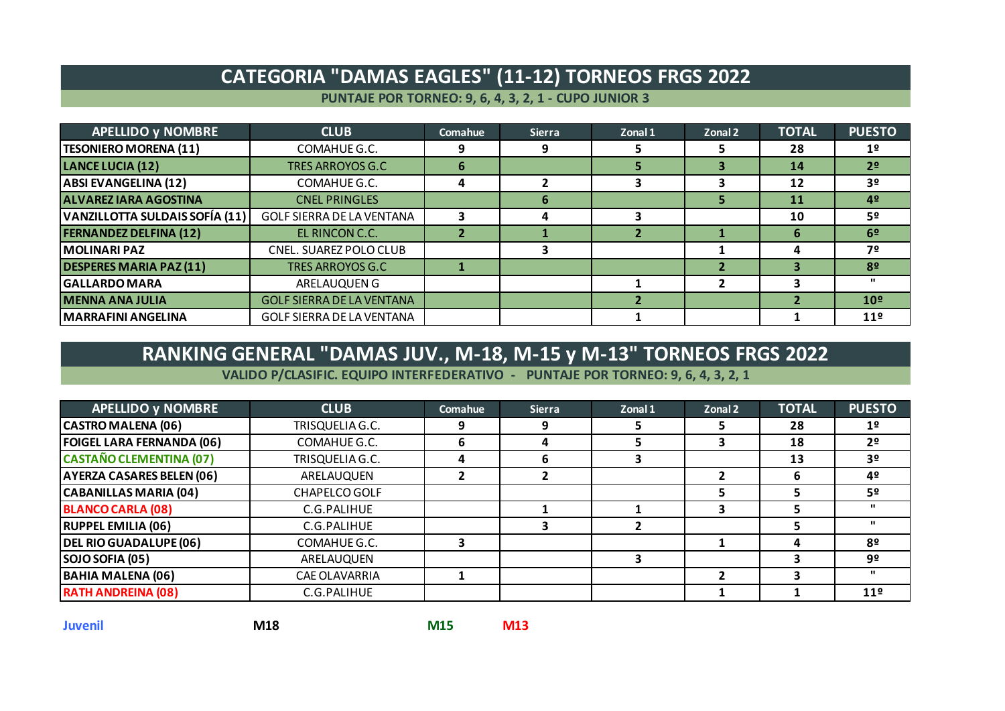### **CATEGORIA "DAMAS EAGLES" (11-12) TORNEOS FRGS 2022**

**PUNTAJE POR TORNEO: 9, 6, 4, 3, 2, 1 - CUPO JUNIOR 3**

| <b>APELLIDO y NOMBRE</b>       | <b>CLUB</b>                      | Comahue     | <b>Sierra</b> | Zonal 1 | Zonal 2 | <b>TOTAL</b> | <b>PUESTO</b>   |
|--------------------------------|----------------------------------|-------------|---------------|---------|---------|--------------|-----------------|
| <b>TESONIERO MORENA (11)</b>   | COMAHUE G.C.                     |             | 9             |         |         | 28           | 1 <sup>°</sup>  |
| <b>LANCE LUCIA (12)</b>        | <b>TRES ARROYOS G.C</b>          | $\mathbf b$ |               |         | З       | 14           | 2 <sup>o</sup>  |
| <b>ABSI EVANGELINA (12)</b>    | COMAHUE G.C.                     | д           |               |         |         | 12           | 3 <sup>o</sup>  |
| <b>ALVAREZ IARA AGOSTINA</b>   | <b>CNEL PRINGLES</b>             |             | 6             |         | ь       | <b>11</b>    | 4º              |
| VANZILLOTTA SULDAIS SOFÍA (11) | GOLF SIERRA DE LA VENTANA        |             | 4             |         |         | 10           | 52              |
| <b>FERNANDEZ DELFINA (12)</b>  | EL RINCON C.C.                   |             |               |         |         | 6            | 6 <sup>2</sup>  |
| <b>MOLINARI PAZ</b>            | CNEL. SUAREZ POLO CLUB           |             |               |         |         |              | 7º              |
| <b>DESPERES MARIA PAZ (11)</b> | <b>TRES ARROYOS G.C</b>          |             |               |         |         |              | 8º              |
| <b>GALLARDO MARA</b>           | ARELAUQUEN G                     |             |               |         |         |              | $\mathbf{u}$    |
| <b>MENNA ANA JULIA</b>         | <b>GOLF SIERRA DE LA VENTANA</b> |             |               |         |         |              | 10 <sup>°</sup> |
| <b>MARRAFINI ANGELINA</b>      | <b>GOLF SIERRA DE LA VENTANA</b> |             |               |         |         |              | 11 <sup>°</sup> |

### **RANKING GENERAL "DAMAS JUV., M-18, M-15 y M-13" TORNEOS FRGS 2022**

**VALIDO P/CLASIFIC. EQUIPO INTERFEDERATIVO - PUNTAJE POR TORNEO: 9, 6, 4, 3, 2, 1**

| <b>APELLIDO y NOMBRE</b>         | <b>CLUB</b>          | <b>Comahue</b> | <b>Sierra</b> | Zonal 1 | Zonal 2 | <b>TOTAL</b> | <b>PUESTO</b>   |
|----------------------------------|----------------------|----------------|---------------|---------|---------|--------------|-----------------|
| <b>CASTRO MALENA (06)</b>        | TRISQUELIA G.C.      |                | 9             |         |         | 28           | 1 <sup>°</sup>  |
| <b>FOIGEL LARA FERNANDA (06)</b> | COMAHUE G.C.         | b              | 4             |         |         | 18           | 2 <sup>o</sup>  |
| <b>CASTAÑO CLEMENTINA (07)</b>   | TRISQUELIA G.C.      | 4              | 6             |         |         | 13           | 3 <sup>o</sup>  |
| <b>AYERZA CASARES BELEN (06)</b> | ARELAUQUEN           |                |               |         |         | 6            | 42              |
| <b>CABANILLAS MARIA (04)</b>     | CHAPELCO GOLF        |                |               |         |         |              | 52              |
| <b>BLANCO CARLA (08)</b>         | C.G.PALIHUE          |                |               |         |         |              | $\mathbf{u}$    |
| <b>RUPPEL EMILIA (06)</b>        | C.G.PALIHUE          |                |               |         |         |              | $\mathbf{u}$    |
| <b>DEL RIO GUADALUPE (06)</b>    | COMAHUE G.C.         |                |               |         |         | Δ            | 8º              |
| SOJO SOFIA (05)                  | ARELAUQUEN           |                |               |         |         |              | 9º              |
| <b>BAHIA MALENA (06)</b>         | <b>CAE OLAVARRIA</b> |                |               |         |         |              | $\mathbf{u}$    |
| <b>RATH ANDREINA (08)</b>        | C.G.PALIHUE          |                |               |         |         |              | 11 <sup>9</sup> |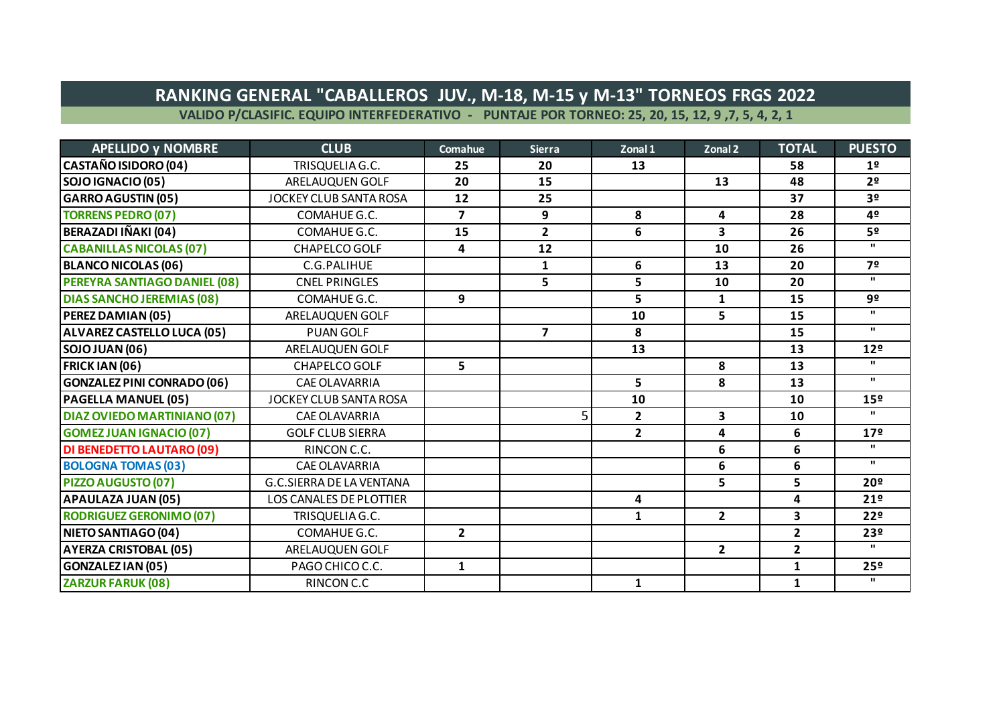### **RANKING GENERAL "CABALLEROS JUV., M-18, M-15 y M-13" TORNEOS FRGS 2022**

**VALIDO P/CLASIFIC. EQUIPO INTERFEDERATIVO - PUNTAJE POR TORNEO: 25, 20, 15, 12, 9 ,7, 5, 4, 2, 1**

| <b>APELLIDO y NOMBRE</b>           | <b>CLUB</b>                     | Comahue        | <b>Sierra</b>           | Zonal 1        | Zonal 2                 | <b>TOTAL</b>            | <b>PUESTO</b>   |
|------------------------------------|---------------------------------|----------------|-------------------------|----------------|-------------------------|-------------------------|-----------------|
| <b>CASTAÑO ISIDORO (04)</b>        | TRISQUELIA G.C.                 | 25             | 20                      | 13             |                         | 58                      | 1 <sup>°</sup>  |
| SOJO IGNACIO (05)                  | ARELAUQUEN GOLF                 | 20             | 15                      |                | 13                      | 48                      | 2 <sup>o</sup>  |
| <b>GARRO AGUSTIN (05)</b>          | <b>JOCKEY CLUB SANTA ROSA</b>   | 12             | 25                      |                |                         | 37                      | 3 <sup>o</sup>  |
| <b>TORRENS PEDRO (07)</b>          | COMAHUE G.C.                    | $\overline{7}$ | 9                       | 8              | 4                       | 28                      | 42              |
| BERAZADI IÑAKI (04)                | COMAHUE G.C.                    | 15             | $\overline{2}$          | 6              | 3                       | 26                      | 5º              |
| <b>CABANILLAS NICOLAS (07)</b>     | <b>CHAPELCO GOLF</b>            | 4              | 12                      |                | 10                      | 26                      | $\mathbf{u}$    |
| <b>BLANCO NICOLAS (06)</b>         | C.G.PALIHUE                     |                | 1                       | 6              | 13                      | 20                      | 72              |
| PEREYRA SANTIAGO DANIEL (08)       | <b>CNEL PRINGLES</b>            |                | 5                       | 5              | 10                      | 20                      | $\mathbf{u}$    |
| <b>DIAS SANCHO JEREMIAS (08)</b>   | COMAHUE G.C.                    | 9              |                         | 5              | $\mathbf{1}$            | 15                      | 9º              |
| PEREZ DAMIAN (05)                  | ARELAUQUEN GOLF                 |                |                         | 10             | 5                       | 15                      | $\mathbf{u}$    |
| ALVAREZ CASTELLO LUCA (05)         | <b>PUAN GOLF</b>                |                | $\overline{\mathbf{z}}$ | 8              |                         | 15                      | $\mathbf{u}$    |
| <b>SOJO JUAN (06)</b>              | ARELAUQUEN GOLF                 |                |                         | 13             |                         | 13                      | 12 <sup>°</sup> |
| <b>FRICK IAN (06)</b>              | <b>CHAPELCO GOLF</b>            | 5              |                         |                | 8                       | 13                      | $\mathbf{u}$    |
| <b>GONZALEZ PINI CONRADO (06)</b>  | <b>CAE OLAVARRIA</b>            |                |                         | 5              | 8                       | 13                      | $\mathbf{u}$    |
| <b>PAGELLA MANUEL (05)</b>         | JOCKEY CLUB SANTA ROSA          |                |                         | 10             |                         | 10                      | 15º             |
| <b>DIAZ OVIEDO MARTINIANO (07)</b> | <b>CAE OLAVARRIA</b>            |                | 5                       | $\overline{2}$ | $\overline{\mathbf{3}}$ | 10                      | $\mathbf{u}$    |
| <b>GOMEZ JUAN IGNACIO (07)</b>     | <b>GOLF CLUB SIERRA</b>         |                |                         | $\overline{2}$ | 4                       | 6                       | 17 <sup>°</sup> |
| <b>DI BENEDETTO LAUTARO (09)</b>   | RINCON C.C.                     |                |                         |                | 6                       | 6                       | $\mathbf{u}$    |
| <b>BOLOGNA TOMAS (03)</b>          | <b>CAE OLAVARRIA</b>            |                |                         |                | 6                       | 6                       | $\mathbf{u}$    |
| PIZZO AUGUSTO (07)                 | <b>G.C.SIERRA DE LA VENTANA</b> |                |                         |                | 5                       | 5                       | 20 <sup>°</sup> |
| APAULAZA JUAN (05)                 | <b>LOS CANALES DE PLOTTIER</b>  |                |                         | 4              |                         | 4                       | 21 <sup>°</sup> |
| <b>RODRIGUEZ GERONIMO (07)</b>     | TRISQUELIA G.C.                 |                |                         | $\mathbf{1}$   | $\overline{2}$          | $\overline{\mathbf{3}}$ | 22°             |
| NIETO SANTIAGO (04)                | COMAHUE G.C.                    | $\overline{2}$ |                         |                |                         | $\overline{2}$          | 23º             |
| <b>AYERZA CRISTOBAL (05)</b>       | ARELAUQUEN GOLF                 |                |                         |                | $\overline{2}$          | $\overline{2}$          | $\mathbf{u}$    |
| <b>GONZALEZ IAN (05)</b>           | PAGO CHICO C.C.                 | $\mathbf{1}$   |                         |                |                         | $\mathbf{1}$            | 25 <sup>°</sup> |
| <b>ZARZUR FARUK (08)</b>           | RINCON C.C                      |                |                         | $\mathbf{1}$   |                         | $\mathbf{1}$            | $\mathbf{u}$    |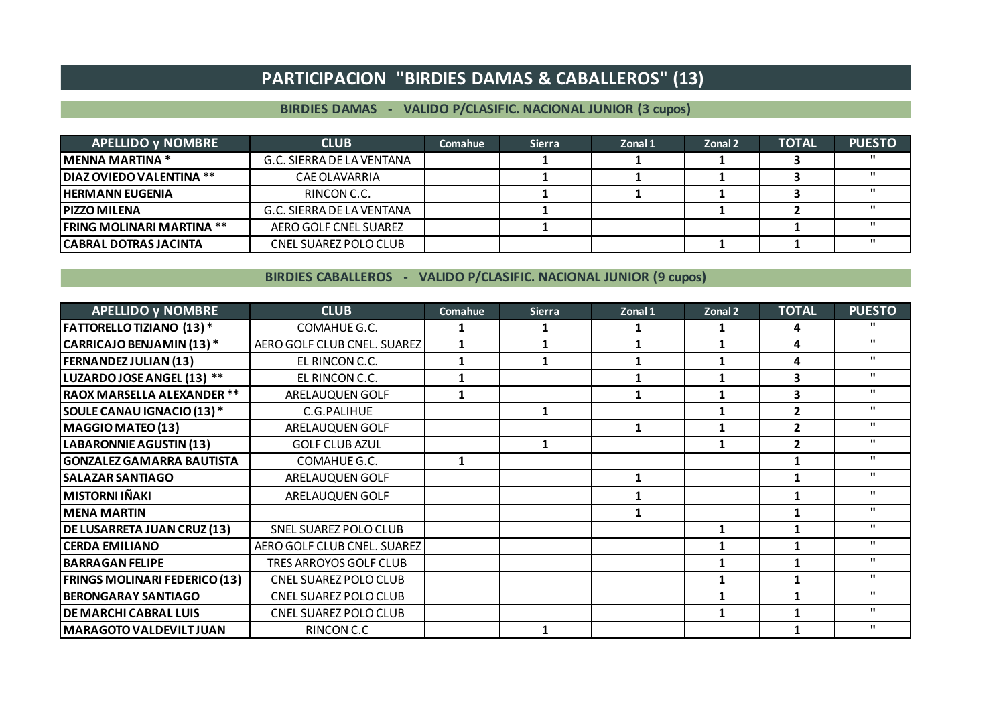#### **PARTICIPACION "BIRDIES DAMAS & CABALLEROS" (13)**

#### **BIRDIES DAMAS - VALIDO P/CLASIFIC. NACIONAL JUNIOR (3 cupos)**

| <b>APELLIDO y NOMBRE</b>          | <b>CLUB</b>               | Comahue | <b>Sierra</b> | Zonal 1 | Zonal 2 | <b>TOTAL</b> | <b>PUESTO</b> |
|-----------------------------------|---------------------------|---------|---------------|---------|---------|--------------|---------------|
| <b>IMENNA MARTINA *</b>           | G.C. SIERRA DE LA VENTANA |         |               |         |         |              |               |
| DIAZ OVIEDO VALENTINA **          | CAE OLAVARRIA             |         |               |         |         |              |               |
| <b>I HERMANN EUGENIA</b>          | RINCON C.C.               |         |               |         |         |              |               |
| <b>IPIZZO MILENA</b>              | G.C. SIERRA DE LA VENTANA |         |               |         |         |              |               |
| <b>IFRING MOLINARI MARTINA **</b> | AERO GOLF CNEL SUAREZ     |         |               |         |         |              |               |
| CABRAL DOTRAS JACINTA             | CNEL SUAREZ POLO CLUB     |         |               |         |         |              |               |

**BIRDIES CABALLEROS - VALIDO P/CLASIFIC. NACIONAL JUNIOR (9 cupos)**

| <b>APELLIDO y NOMBRE</b>             | <b>CLUB</b>                  | Comahue | <b>Sierra</b> | Zonal 1      | Zonal 2 | <b>TOTAL</b> | <b>PUESTO</b> |
|--------------------------------------|------------------------------|---------|---------------|--------------|---------|--------------|---------------|
| <b>FATTORELLO TIZIANO (13)*</b>      | COMAHUE G.C.                 |         |               |              |         | 4            |               |
| CARRICAJO BENJAMIN (13)*             | AERO GOLF CLUB CNEL. SUAREZ  | 1       |               |              |         | 4            | $\mathbf{u}$  |
| <b>FERNANDEZ JULIAN (13)</b>         | EL RINCON C.C.               |         | 1             |              |         | 4            | $\mathbf{u}$  |
| LUZARDO JOSE ANGEL (13) **           | EL RINCON C.C.               |         |               |              |         | 3            | $\mathbf{u}$  |
| RAOX MARSELLA ALEXANDER **           | ARELAUQUEN GOLF              | 1       |               | 1            |         | 3            | $\mathbf{u}$  |
| SOULE CANAU IGNACIO (13) *           | C.G.PALIHUE                  |         | 1             |              |         | 2            | $\mathbf{u}$  |
| <b>MAGGIO MATEO (13)</b>             | ARELAUQUEN GOLF              |         |               | $\mathbf{1}$ |         | 2            | $\mathbf{u}$  |
| <b>LABARONNIE AGUSTIN (13)</b>       | <b>GOLF CLUB AZUL</b>        |         |               |              |         | 2            | $\mathbf{H}$  |
| <b>GONZALEZ GAMARRA BAUTISTA</b>     | COMAHUE G.C.                 | 1       |               |              |         |              | $\mathbf{u}$  |
| <b>SALAZAR SANTIAGO</b>              | ARELAUQUEN GOLF              |         |               |              |         |              | $\mathbf{u}$  |
| <b>MISTORNI IÑAKI</b>                | ARELAUQUEN GOLF              |         |               |              |         |              | $\mathbf{u}$  |
| <b>MENA MARTIN</b>                   |                              |         |               |              |         |              | $\mathbf{u}$  |
| <b>DE LUSARRETA JUAN CRUZ (13)</b>   | SNEL SUAREZ POLO CLUB        |         |               |              |         |              | $\mathbf{H}$  |
| <b>CERDA EMILIANO</b>                | AERO GOLF CLUB CNEL. SUAREZ  |         |               |              |         |              | $\mathbf{u}$  |
| <b>BARRAGAN FELIPE</b>               | TRES ARROYOS GOLF CLUB       |         |               |              |         |              | $\mathbf{u}$  |
| <b>FRINGS MOLINARI FEDERICO (13)</b> | <b>CNEL SUAREZ POLO CLUB</b> |         |               |              |         |              | $\mathbf{H}$  |
| <b>BERONGARAY SANTIAGO</b>           | <b>CNEL SUAREZ POLO CLUB</b> |         |               |              |         |              | $\mathbf{u}$  |
| <b>DE MARCHI CABRAL LUIS</b>         | CNEL SUAREZ POLO CLUB        |         |               |              |         |              | $\mathbf{u}$  |
| <b>MARAGOTO VALDEVILT JUAN</b>       | RINCON C.C                   |         |               |              |         |              | $\mathbf{H}$  |